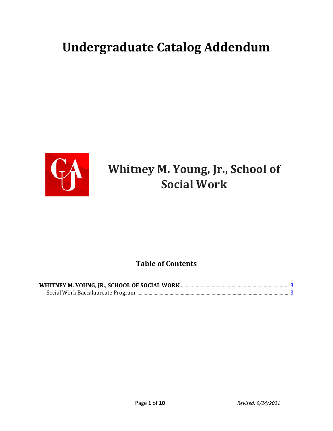# **Undergraduate Catalog Addendum**



# **Whitney M. Young, Jr., School of Social Work**

#### **Table of Contents**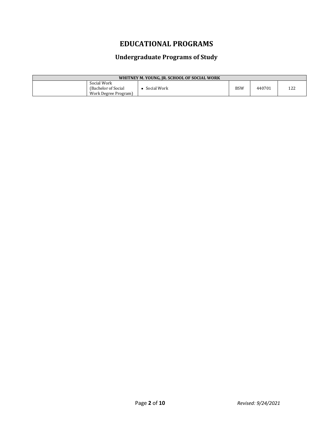### **EDUCATIONAL PROGRAMS**

#### **Undergraduate Programs of Study**

| WHITNEY M. YOUNG, JR. SCHOOL OF SOCIAL WORK                 |             |            |        |    |
|-------------------------------------------------------------|-------------|------------|--------|----|
| Social Work<br>(Bachelor of Social)<br>Work Degree Program) | Social Work | <b>BSW</b> | 440701 | ᄔᄼ |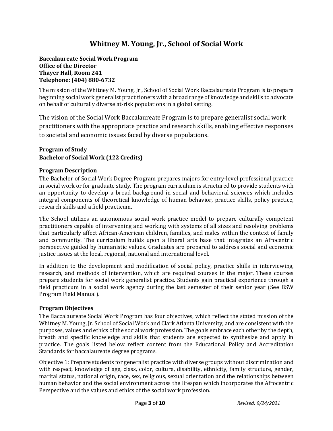#### **Whitney M. Young, Jr., School of Social Work**

#### **Baccalaureate Social Work Program Office of the Director Thayer Hall, Room 241 Telephone: (404) 880-6732**

The mission of the Whitney M. Young, Jr., School of Social Work Baccalaureate Program is to prepare beginning social work generalist practitioners with a broad range of knowledge and skills to advocate on behalf of culturally diverse at-risk populations in a global setting.

The vision of the Social Work Baccalaureate Program is to prepare generalist social work practitioners with the appropriate practice and research skills, enabling effective responses to societal and economic issues faced by diverse populations.

#### **Program of Study Bachelor of Social Work (122 Credits)**

#### **Program Description**

The Bachelor of Social Work Degree Program prepares majors for entry-level professional practice in social work or for graduate study. The program curriculum is structured to provide students with an opportunity to develop a broad background in social and behavioral sciences which includes integral components of theoretical knowledge of human behavior, practice skills, policy practice, research skills and a field practicum.

The School utilizes an autonomous social work practice model to prepare culturally competent practitioners capable of intervening and working with systems of all sizes and resolving problems that particularly affect African-American children, families, and males within the context of family and community. The curriculum builds upon a liberal arts base that integrates an Afrocentric perspective guided by humanistic values. Graduates are prepared to address social and economic justice issues at the local, regional, national and international level.

In addition to the development and modification of social policy, practice skills in interviewing, research, and methods of intervention, which are required courses in the major. These courses prepare students for social work generalist practice. Students gain practical experience through a field practicum in a social work agency during the last semester of their senior year (See BSW Program Field Manual).

#### **Program Objectives**

The Baccalaureate Social Work Program has four objectives, which reflect the stated mission of the Whitney M. Young, Jr. School of Social Work and Clark Atlanta University, and are consistent with the purposes, values and ethics of the social work profession. The goals embrace each other by the depth, breath and specific knowledge and skills that students are expected to synthesize and apply in practice. The goals listed below reflect content from the Educational Policy and Accreditation Standards for baccalaureate degree programs.

Objective 1: Prepare students for generalist practice with diverse groups without discrimination and with respect, knowledge of age, class, color, culture, disability, ethnicity, family structure, gender, marital status, national origin, race, sex, religious, sexual orientation and the relationships between human behavior and the social environment across the lifespan which incorporates the Afrocentric Perspective and the values and ethics of the social work profession.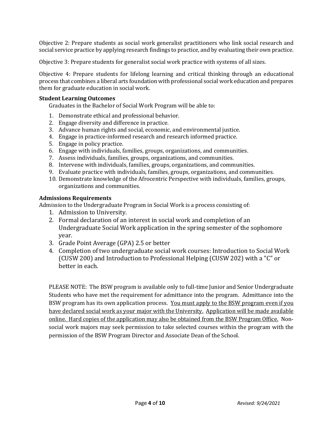Objective 2: Prepare students as social work generalist practitioners who link social research and social service practice by applying research findings to practice, and by evaluating their own practice.

Objective 3: Prepare students for generalist social work practice with systems of all sizes.

Objective 4: Prepare students for lifelong learning and critical thinking through an educational process that combines a liberal arts foundation with professional social work education and prepares them for graduate education in social work.

#### **Student Learning Outcomes**

Graduates in the Bachelor of Social Work Program will be able to:

- 1. Demonstrate ethical and professional behavior.
- 2. Engage diversity and difference in practice.
- 3. Advance human rights and social, economic, and environmental justice.
- 4. Engage in practice-informed research and research informed practice.
- 5. Engage in policy practice.
- 6. Engage with individuals, families, groups, organizations, and communities.
- 7. Assess individuals, families, groups, organizations, and communities.
- 8. Intervene with individuals, families, groups, organizations, and communities.
- 9. Evaluate practice with individuals, families, groups, organizations, and communities.
- 10. Demonstrate knowledge of the Afrocentric Perspective with individuals, families, groups, organizations and communities.

#### **Admissions Requirements**

Admission to the Undergraduate Program in Social Work is a process consisting of:

- 1. Admission to University.
- 2. Formal declaration of an interest in social work and completion of an Undergraduate Social Work application in the spring semester of the sophomore year.
- 3. Grade Point Average (GPA) 2.5 or better
- 4. Completion of two undergraduate social work courses: Introduction to Social Work (CUSW 200) and Introduction to Professional Helping (CUSW 202) with a "C" or better in each.

PLEASE NOTE: The BSW program is available only to full-time Junior and Senior Undergraduate Students who have met the requirement for admittance into the program. Admittance into the BSW program has its own application process. You must apply to the BSW program even if you have declared social work as your major with the University. Application will be made available online. Hard copies of the application may also be obtained from the BSW Program Office. Nonsocial work majors may seek permission to take selected courses within the program with the permission of the BSW Program Director and Associate Dean of the School.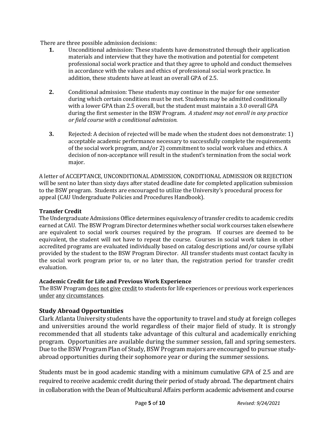There are three possible admission decisions:<br>1. Unconditional admission: These stu

- **1.** Unconditional admission: These students have demonstrated through their application materials and interview that they have the motivation and potential for competent professional social work practice and that they agree to uphold and conduct themselves in accordance with the values and ethics of professional social work practice. In addition, these students have at least an overall GPA of 2.5.
- **2.** Conditional admission: These students may continue in the major for one semester during which certain conditions must be met. Students may be admitted conditionally with a lower GPA than 2.5 overall, but the student must maintain a 3.0 overall GPA during the first semester in the BSW Program. *A student may not enroll in any practice or field course with a conditional admission.*
- **3.** Rejected: A decision of rejected will be made when the student does not demonstrate: 1) acceptable academic performance necessary to successfully complete the requirements of the social work program, and/or 2) commitment to social work values and ethics. A decision of non-acceptance will result in the student's termination from the social work major.

A letter of ACCEPTANCE, UNCONDITIONAL ADMISSION, CONDITIONAL ADMISSION OR REJECTION will be sent no later than sixty days after stated deadline date for completed application submission to the BSW program. Students are encouraged to utilize the University's procedural process for appeal (CAU Undergraduate Policies and Procedures Handbook).

#### **Transfer Credit**

The Undergraduate Admissions Office determines equivalency of transfer credits to academic credits earned at CAU. The BSW Program Director determines whether social work courses taken elsewhere are equivalent to social work courses required by the program. If courses are deemed to be equivalent, the student will not have to repeat the course. Courses in social work taken in other accredited programs are evaluated individually based on catalog descriptions and/or course syllabi provided by the student to the BSW Program Director. All transfer students must contact faculty in the social work program prior to, or no later than, the registration period for transfer credit evaluation.

#### **Academic Credit for Life and Previous Work Experience**

The BSW Program does not give credit to students for life experiences or previous work experiences under any circumstances.

#### **Study Abroad Opportunities**

Clark Atlanta University students have the opportunity to travel and study at foreign colleges and universities around the world regardless of their major field of study. It is strongly recommended that all students take advantage of this cultural and academically enriching program. Opportunities are available during the summer session, fall and spring semesters. Due to the BSW Program Plan of Study, BSW Program majors are encouraged to pursue studyabroad opportunities during their sophomore year or during the summer sessions.

Students must be in good academic standing with a minimum cumulative GPA of 2.5 and are required to receive academic credit during their period of study abroad. The department chairs in collaboration with the Dean of Multicultural Affairs perform academic advisement and course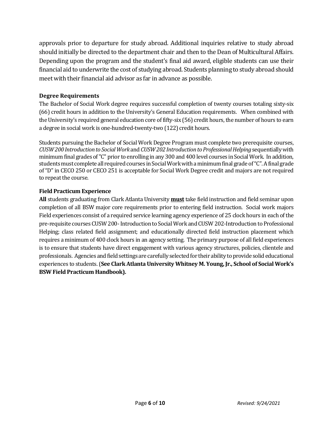approvals prior to departure for study abroad. Additional inquiries relative to study abroad should initially be directed to the department chair and then to the Dean of Multicultural Affairs. Depending upon the program and the student's final aid award, eligible students can use their financial aid to underwrite the cost of studying abroad. Students planning to study abroad should meet with their financial aid advisor as far in advance as possible.

#### **Degree Requirements**

The Bachelor of Social Work degree requires successful completion of twenty courses totaling sixty-six (66) credit hours in addition to the University's General Education requirements. When combined with the University's required general education core of fifty-six (56) credit hours, the number of hours to earn a degree in social work is one-hundred-twenty-two (122) credit hours.

Students pursuing the Bachelor of Social Work Degree Program must complete two prerequisite courses, *CUSW 200 Introduction to Social Work* and *CUSW 202 Introduction to Professional Helping*sequentially with minimum final grades of "C" prior to enrolling in any 300 and 400 level courses in Social Work. In addition, students must complete all required courses in Social Work with a minimum final grade of "C". A final grade of "D" in CECO 250 or CECO 251 is acceptable for Social Work Degree credit and majors are not required to repeat the course.

#### **Field Practicum Experience**

**All** students graduating from Clark Atlanta University **must** take field instruction and field seminar upon completion of all BSW major core requirements prior to entering field instruction. Social work majors Field experiences consist of a required service learning agency experience of 25 clock hours in each of the pre-requisite courses CUSW 200-Introduction to Social Work and CUSW 202-Introduction to Professional Helping; class related field assignment; and educationally directed field instruction placement which requires a minimum of 400 clock hours in an agency setting. The primary purpose of all field experiences is to ensure that students have direct engagement with various agency structures, policies, clientele and professionals. Agencies and field settings are carefully selected for their ability to provide solid educational experiences to students. (**See Clark Atlanta University Whitney M. Young, Jr., School of Social Work's BSW Field Practicum Handbook).**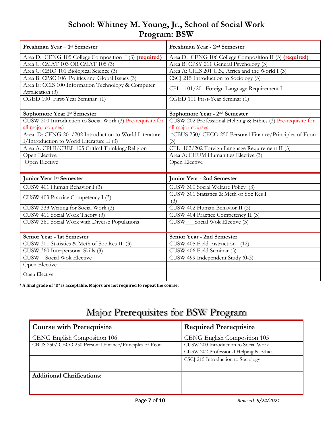## **School: Whitney M. Young, Jr., School of Social Work Program: BSW**

| Freshman Year - 1 <sup>st</sup> Semester                   | Freshman Year - 2 <sup>nd</sup> Semester                     |
|------------------------------------------------------------|--------------------------------------------------------------|
| Area D: CENG 105 College Composition I (3) (required)      | Area D: CENG 106 College Composition II (3) (required)       |
| Area C: CMAT 103 OR CMAT 105 (3)                           | Area B: CPSY 211 General Psychology (3)                      |
| Area C: CBIO 101 Biological Science (3)                    | Area A: CHIS 201 U.S., Africa and the World I (3)            |
| Area B: CPSC 106 Politics and Global Issues (3)            | CSCJ 215 Introduction to Sociology (3)                       |
| Area E: CCIS 100 Information Technology & Computer         | CFL 101/201 Foreign Language Requirement I                   |
| Application (3)                                            |                                                              |
| CGED 100 First-Year Seminar (1)                            | CGED 101 First-Year Seminar (1)                              |
| Sophomore Year 1st Semester                                | Sophomore Year - 2 <sup>nd</sup> Semester                    |
| CUSW 200 Introduction to Social Work (3) Pre-requisite for | CUSW 202 Professional Helping & Ethics (3) Pre-requisite for |
| all major courses)                                         | all major courses                                            |
| Area D: CENG 201/202 Introduction to World Literature      | *CBUS 250/ CECO 250 Personal Finance/Principles of Econ      |
| I/Introduction to World Literature II (3)                  | (3)                                                          |
| Area A: CPHI/CREL 105 Critical Thinking/Religion           | CFL 102/202 Foreign Language Requirement II (3)              |
| Open Elective                                              | Area A: CHUM Humanities Elective (3)                         |
| Open Elective                                              | Open Elective                                                |
| <b>Junior Year 1st Semester</b>                            | <b>Junior Year - 2nd Semester</b>                            |
| CUSW 401 Human Behavior I (3)                              | CUSW 300 Social Welfare Policy (3)                           |
| CUSW 403 Practice Competency I (3)                         | CUSW 301 Statistics & Meth of Soc Res I                      |
|                                                            | (3)                                                          |
| CUSW 333 Writing for Social Work (3)                       | CUSW 402 Human Behavior II (3)                               |
| CUSW 411 Social Work Theory (3)                            | CUSW 404 Practice Competency II (3)                          |
| CUSW 361 Social Work with Diverse Populations              | CUSW_Social Wok Elective (3)                                 |
| Senior Year - 1st Semester                                 | Senior Year - 2nd Semester                                   |
| CUSW 301 Statistics & Meth of Soc Res II (3)               | CUSW 405 Field Instruction<br>(12)                           |
| CUSW 360 Interpersonal Skills (3)                          | CUSW 406 Field Seminar (3)                                   |
| <b>CUSW_Social Wok Elective</b>                            | CUSW 499 Independent Study (0-3)                             |
| Open Elective                                              |                                                              |
| Open Elective                                              |                                                              |

**\* A final grade of "D" is acceptable. Majors are not required to repeat the course.** 

## Major Prerequisites for BSW Program

| <b>Course with Prerequisite</b>                        | <b>Required Prerequisite</b>           |
|--------------------------------------------------------|----------------------------------------|
| CENG English Composition 106                           | CENG English Composition 105           |
| CBUS 250/ CECO 250 Personal Finance/Principles of Econ | CUSW 200 Introduction to Social Work   |
|                                                        | CUSW 202 Professional Helping & Ethics |
|                                                        | CSCJ 215 Introduction to Sociology     |
|                                                        |                                        |
| <b>Additional Clarifications:</b>                      |                                        |
|                                                        |                                        |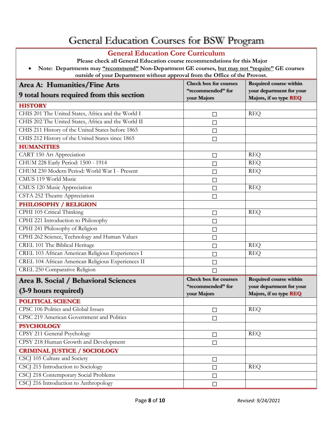## General Education Courses for BSW Program

#### **General Education Core Curriculum**

**Please check all General Education course recommendations for this Major** • **Note: Departments may "recommend" Non-Department GE courses, but may not "require" GE courses outside of your Department without approval from the Office of the Provost.**

| Area A: Humanities/Fine Arts                        | <b>Check box for courses</b>     | Required course within                             |
|-----------------------------------------------------|----------------------------------|----------------------------------------------------|
| 9 total hours required from this section            | "recommended" for<br>your Majors | your department for your<br>Majors, if so type REQ |
| <b>HISTORY</b>                                      |                                  |                                                    |
| CHIS 201 The United States, Africa and the World I  | $\Box$                           | <b>REQ</b>                                         |
| CHIS 202 The United States, Africa and the World II | $\Box$                           |                                                    |
| CHIS 211 History of the United States before 1865   | □                                |                                                    |
| CHIS 212 History of the United States since 1865    | $\Box$                           |                                                    |
| <b>HUMANITIES</b>                                   |                                  |                                                    |
| CART 150 Art Appreciation                           | □                                | <b>REQ</b>                                         |
| CHUM 228 Early Period: 1500 - 1914                  | □                                | <b>REQ</b>                                         |
| CHUM 230 Modern Period: World War I - Present       | $\Box$                           | <b>REQ</b>                                         |
| CMUS 119 World Music                                | $\Box$                           |                                                    |
| CMUS 120 Music Appreciation                         | П                                | <b>REQ</b>                                         |
| CSTA 252 Theatre Appreciation                       | □                                |                                                    |
| <b>PHILOSOPHY / RELIGION</b>                        |                                  |                                                    |
| CPHI 105 Critical Thinking                          | □                                | <b>REQ</b>                                         |
| CPHI 221 Introduction to Philosophy                 | $\Box$                           |                                                    |
| CPHI 241 Philosophy of Religion                     | $\Box$                           |                                                    |
| CPHI 262 Science, Technology and Human Values       | $\Box$                           |                                                    |
| CREL 101 The Biblical Heritage                      | $\Box$                           | <b>REQ</b>                                         |
| CREL 103 African American Religious Experiences I   | □                                | <b>REQ</b>                                         |
| CREL 104 African American Religious Experiences II  | П                                |                                                    |
| CREL 250 Comparative Religion                       | $\Box$                           |                                                    |
| Area B. Social / Behavioral Sciences                | <b>Check box for courses</b>     | Required course within                             |
| (3-9 hours required)                                | "recommended" for                | your department for your                           |
|                                                     | your Majors                      | Majors, if so type REQ                             |
| <b>POLITICAL SCIENCE</b>                            |                                  |                                                    |
| CPSC 106 Politics and Global Issues                 | □                                | <b>REQ</b>                                         |
| CPSC 219 American Government and Politics           | $\Box$                           |                                                    |
| <b>PSYCHOLOGY</b>                                   |                                  |                                                    |
| CPSY 211 General Psychology                         | $\Box$                           | <b>REQ</b>                                         |
| CPSY 218 Human Growth and Development               | $\Box$                           |                                                    |
| <b>CRIMINAL JUSTICE / SOCIOLOGY</b>                 |                                  |                                                    |
| CSCJ 105 Culture and Society                        | □                                |                                                    |
| CSCJ 215 Introduction to Sociology                  | $\Box$                           | <b>REQ</b>                                         |
| CSCJ 218 Contemporary Social Problems               | $\Box$                           |                                                    |
| CSCJ 216 Introduction to Anthropology               | $\Box$                           |                                                    |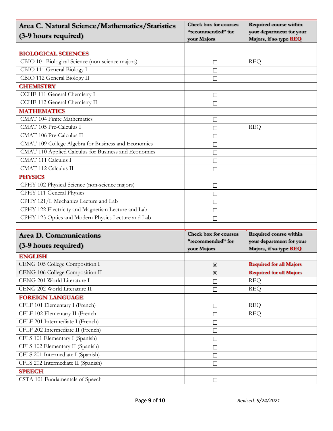| Area C. Natural Science/Mathematics/Statistics       | <b>Check box for courses</b> | <b>Required course within</b>  |
|------------------------------------------------------|------------------------------|--------------------------------|
| (3-9 hours required)                                 | "recommended" for            | your department for your       |
|                                                      | your Majors                  | Majors, if so type REQ         |
| <b>BIOLOGICAL SCIENCES</b>                           |                              |                                |
| CBIO 101 Biological Science (non-science majors)     | □                            | <b>REQ</b>                     |
| CBIO 111 General Biology I                           | $\Box$                       |                                |
| CBIO 112 General Biology II                          | $\Box$                       |                                |
| <b>CHEMISTRY</b>                                     |                              |                                |
| CCHE 111 General Chemistry I                         | □                            |                                |
| CCHE 112 General Chemistry II                        | $\Box$                       |                                |
| <b>MATHEMATICS</b>                                   |                              |                                |
| <b>CMAT 104 Finite Mathematics</b>                   | $\Box$                       |                                |
| CMAT 105 Pre-Calculus I                              | □                            | <b>REQ</b>                     |
| CMAT 106 Pre-Calculus II                             | $\Box$                       |                                |
| CMAT 109 College Algebra for Business and Economics  | □                            |                                |
| CMAT 110 Applied Calculus for Business and Economics | $\Box$                       |                                |
| <b>CMAT 111 Calculus I</b>                           | $\Box$                       |                                |
| <b>CMAT 112 Calculus II</b>                          | $\Box$                       |                                |
| <b>PHYSICS</b>                                       |                              |                                |
| CPHY 102 Physical Science (non-science majors)       | $\Box$                       |                                |
| CPHY 111 General Physics                             | □                            |                                |
| CPHY 121/L Mechanics Lecture and Lab                 | □                            |                                |
| CPHY 122 Electricity and Magnetism Lecture and Lab   | $\Box$                       |                                |
| CPHY 123 Optics and Modern Physics Lecture and Lab   | П                            |                                |
|                                                      |                              |                                |
| <b>Area D. Communications</b>                        | <b>Check box for courses</b> | Required course within         |
| (3-9 hours required)                                 | "recommended" for            | your department for your       |
|                                                      | your Majors                  | Majors, if so type REQ         |
| <b>ENGLISH</b>                                       |                              |                                |
| CENG 105 College Composition I                       | ⊠                            | <b>Required for all Majors</b> |
| CENG 106 College Composition II                      | 図                            | <b>Required for all Majors</b> |
| CENG 201 World Literature I                          | $\Box$                       | <b>REQ</b>                     |
| CENG 202 World Literature II                         | $\Box$                       | <b>REQ</b>                     |
| <b>FOREIGN LANGUAGE</b>                              |                              |                                |
| CFLF 101 Elementary I (French)                       | $\Box$                       | <b>REQ</b>                     |
| CFLF 102 Elementary II (French                       | □                            | <b>REQ</b>                     |
| CFLF 201 Intermediate I (French)                     | $\Box$                       |                                |
| CFLF 202 Intermediate II (French)                    | $\Box$                       |                                |
| CFLS 101 Elementary I (Spanish)                      | $\Box$                       |                                |
| CFLS 102 Elementary II (Spanish)                     | $\Box$                       |                                |
| CFLS 201 Intermediate I (Spanish)                    | $\Box$                       |                                |
| CFLS 202 Intermediate II (Spanish)                   | $\Box$                       |                                |
| <b>SPEECH</b>                                        |                              |                                |
| CSTA 101 Fundamentals of Speech                      | $\Box$                       |                                |